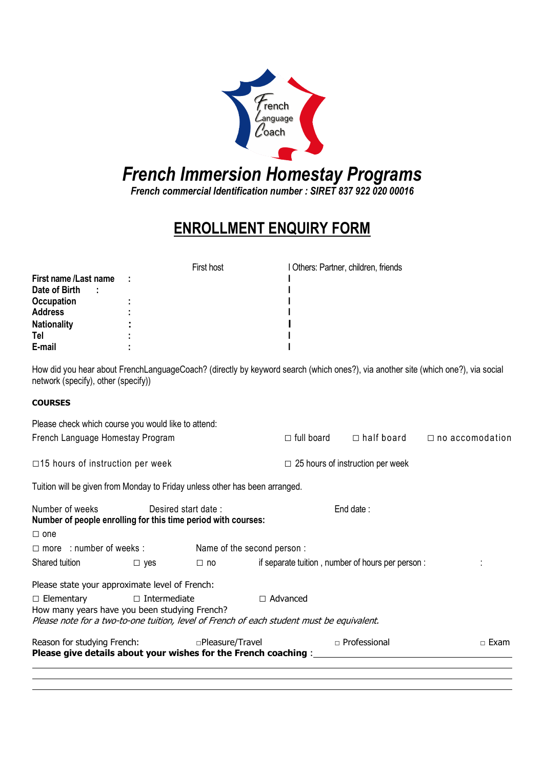

#### French Immersion Homestay Programs French Immersion Homestay Programs

French commercial Identification number : SIRET 837 922 020 00016 French commercial Identification number : SIRET 837 922 020 00016

# ENROLLMENT ENROLLMENT ENQUIRY FORM

|                            |      | First host | I Others: Partner, children, friends |  |
|----------------------------|------|------------|--------------------------------------|--|
| First name /Last name      | - 11 |            |                                      |  |
| Date of Birth<br>$\cdot$ : |      |            |                                      |  |
| <b>Occupation</b>          |      |            |                                      |  |
| <b>Address</b>             |      |            |                                      |  |
| <b>Nationality</b>         |      |            |                                      |  |
| Tel                        |      |            |                                      |  |
| E-mail                     |      |            |                                      |  |

How did you hear about FrenchLanguageCoach? (directly by keyword search (which ones?), via another site (which one?), via social network (specify), other (specify))

### **COURSES**

| Please check which course you would like to attend:                                                                                                             |                     |                  |                 |                                         |                                                  |                        |  |
|-----------------------------------------------------------------------------------------------------------------------------------------------------------------|---------------------|------------------|-----------------|-----------------------------------------|--------------------------------------------------|------------------------|--|
| French Language Homestay Program                                                                                                                                |                     |                  |                 | $\Box$ full board                       | $\Box$ half board                                | $\Box$ no accomodation |  |
| $\Box$ 15 hours of instruction per week                                                                                                                         |                     |                  |                 | $\Box$ 25 hours of instruction per week |                                                  |                        |  |
| Tuition will be given from Monday to Friday unless other has been arranged.                                                                                     |                     |                  |                 |                                         |                                                  |                        |  |
| Number of weeks<br>Desired start date:<br>End date:<br>Number of people enrolling for this time period with courses:                                            |                     |                  |                 |                                         |                                                  |                        |  |
| $\Box$ one                                                                                                                                                      |                     |                  |                 |                                         |                                                  |                        |  |
| $\Box$ more : number of weeks : Name of the second person :                                                                                                     |                     |                  |                 |                                         |                                                  |                        |  |
| Shared tuition                                                                                                                                                  | $\Box$ yes          | $\Box$ no        |                 |                                         | if separate tuition, number of hours per person: |                        |  |
| Please state your approximate level of French:                                                                                                                  |                     |                  |                 |                                         |                                                  |                        |  |
| $\Box$ Elementary<br>How many years have you been studying French?<br>Please note for a two-to-one tuition, level of French of each student must be equivalent. | $\Box$ Intermediate |                  | $\Box$ Advanced |                                         |                                                  |                        |  |
| Reason for studying French:<br>Please give details about your wishes for the French coaching : ____                                                             |                     | □Pleasure/Travel |                 |                                         | $\Box$ Professional                              | $\Box$ Exam            |  |
|                                                                                                                                                                 |                     |                  |                 |                                         |                                                  |                        |  |
|                                                                                                                                                                 |                     |                  |                 |                                         |                                                  |                        |  |